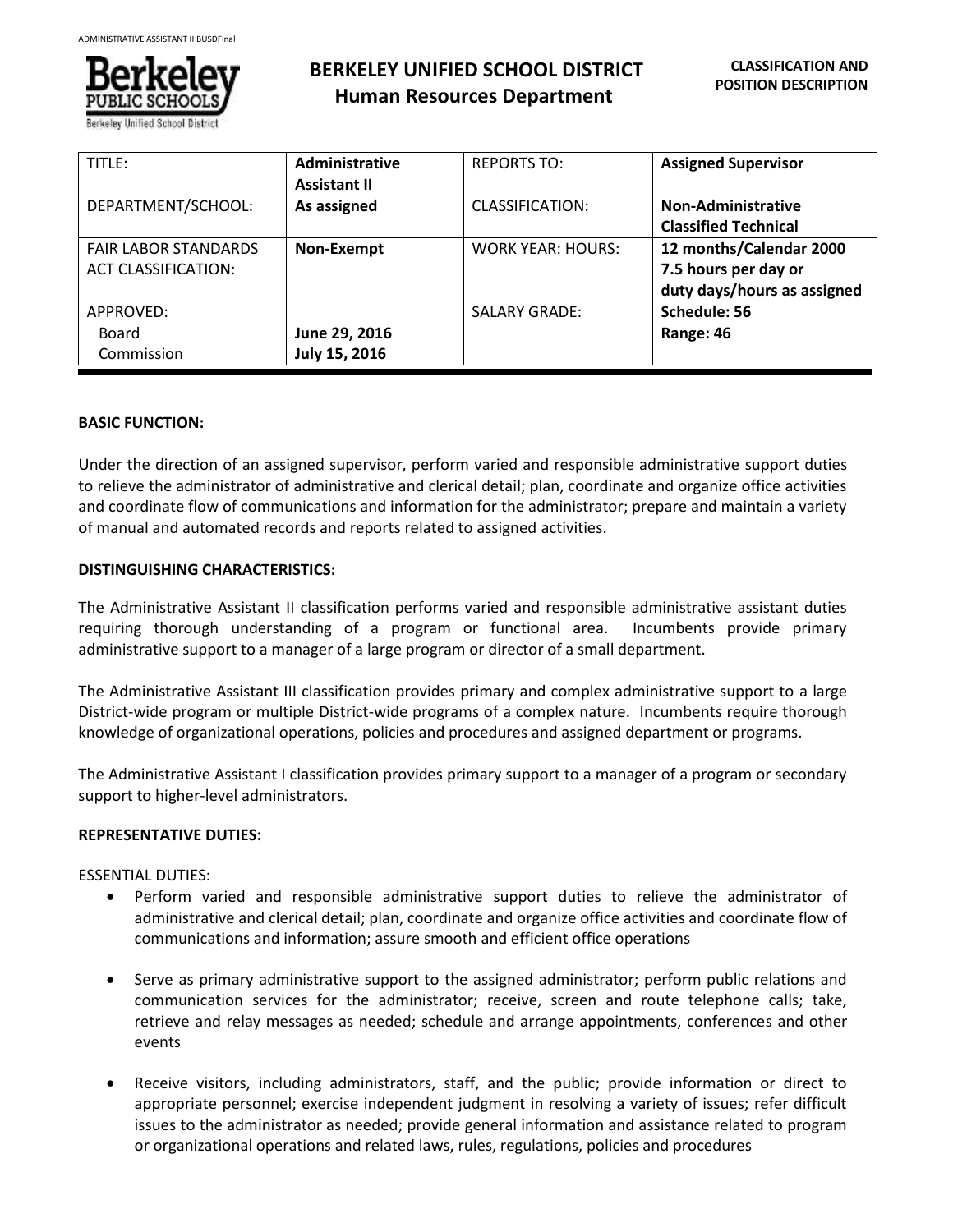

# **BERKELEY UNIFIED SCHOOL DISTRICT Human Resources Department**

| TITLE:                      | <b>Administrative</b> | <b>REPORTS TO:</b>       | <b>Assigned Supervisor</b>  |
|-----------------------------|-----------------------|--------------------------|-----------------------------|
|                             | <b>Assistant II</b>   |                          |                             |
| DEPARTMENT/SCHOOL:          | As assigned           | CLASSIFICATION:          | Non-Administrative          |
|                             |                       |                          | <b>Classified Technical</b> |
| <b>FAIR LABOR STANDARDS</b> | Non-Exempt            | <b>WORK YEAR: HOURS:</b> | 12 months/Calendar 2000     |
| ACT CLASSIFICATION:         |                       |                          | 7.5 hours per day or        |
|                             |                       |                          | duty days/hours as assigned |
| APPROVED:                   |                       | <b>SALARY GRADE:</b>     | Schedule: 56                |
| Board                       | June 29, 2016         |                          | Range: 46                   |
| Commission                  | July 15, 2016         |                          |                             |

## **BASIC FUNCTION:**

Under the direction of an assigned supervisor, perform varied and responsible administrative support duties to relieve the administrator of administrative and clerical detail; plan, coordinate and organize office activities and coordinate flow of communications and information for the administrator; prepare and maintain a variety of manual and automated records and reports related to assigned activities.

## **DISTINGUISHING CHARACTERISTICS:**

The Administrative Assistant II classification performs varied and responsible administrative assistant duties requiring thorough understanding of a program or functional area. Incumbents provide primary administrative support to a manager of a large program or director of a small department.

The Administrative Assistant III classification provides primary and complex administrative support to a large District-wide program or multiple District-wide programs of a complex nature. Incumbents require thorough knowledge of organizational operations, policies and procedures and assigned department or programs.

The Administrative Assistant I classification provides primary support to a manager of a program or secondary support to higher-level administrators.

## **REPRESENTATIVE DUTIES:**

ESSENTIAL DUTIES:

- Perform varied and responsible administrative support duties to relieve the administrator of administrative and clerical detail; plan, coordinate and organize office activities and coordinate flow of communications and information; assure smooth and efficient office operations
- Serve as primary administrative support to the assigned administrator; perform public relations and communication services for the administrator; receive, screen and route telephone calls; take, retrieve and relay messages as needed; schedule and arrange appointments, conferences and other events
- Receive visitors, including administrators, staff, and the public; provide information or direct to appropriate personnel; exercise independent judgment in resolving a variety of issues; refer difficult issues to the administrator as needed; provide general information and assistance related to program or organizational operations and related laws, rules, regulations, policies and procedures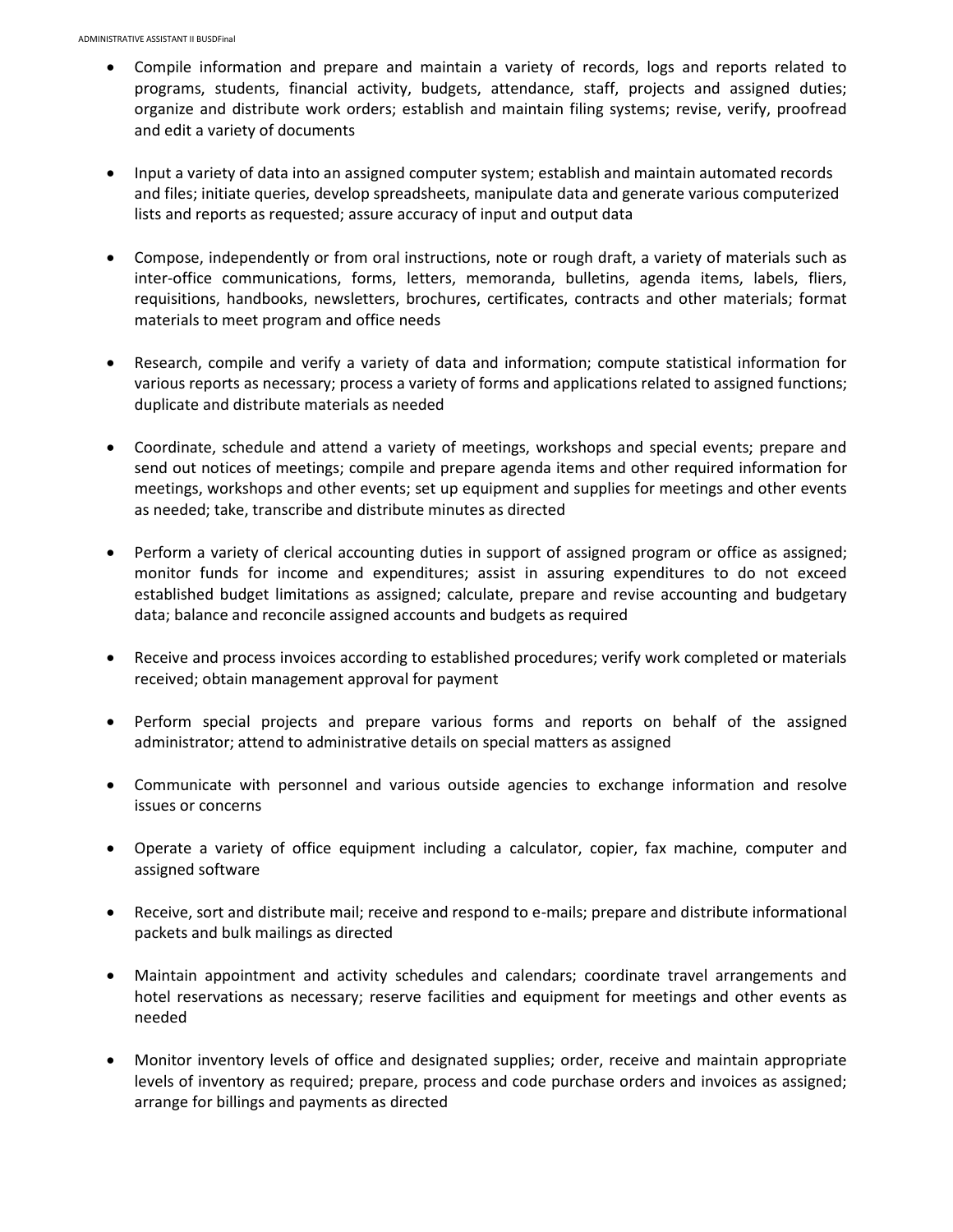- Compile information and prepare and maintain a variety of records, logs and reports related to programs, students, financial activity, budgets, attendance, staff, projects and assigned duties; organize and distribute work orders; establish and maintain filing systems; revise, verify, proofread and edit a variety of documents
- Input a variety of data into an assigned computer system; establish and maintain automated records and files; initiate queries, develop spreadsheets, manipulate data and generate various computerized lists and reports as requested; assure accuracy of input and output data
- Compose, independently or from oral instructions, note or rough draft, a variety of materials such as inter-office communications, forms, letters, memoranda, bulletins, agenda items, labels, fliers, requisitions, handbooks, newsletters, brochures, certificates, contracts and other materials; format materials to meet program and office needs
- Research, compile and verify a variety of data and information; compute statistical information for various reports as necessary; process a variety of forms and applications related to assigned functions; duplicate and distribute materials as needed
- Coordinate, schedule and attend a variety of meetings, workshops and special events; prepare and send out notices of meetings; compile and prepare agenda items and other required information for meetings, workshops and other events; set up equipment and supplies for meetings and other events as needed; take, transcribe and distribute minutes as directed
- Perform a variety of clerical accounting duties in support of assigned program or office as assigned; monitor funds for income and expenditures; assist in assuring expenditures to do not exceed established budget limitations as assigned; calculate, prepare and revise accounting and budgetary data; balance and reconcile assigned accounts and budgets as required
- Receive and process invoices according to established procedures; verify work completed or materials received; obtain management approval for payment
- Perform special projects and prepare various forms and reports on behalf of the assigned administrator; attend to administrative details on special matters as assigned
- Communicate with personnel and various outside agencies to exchange information and resolve issues or concerns
- Operate a variety of office equipment including a calculator, copier, fax machine, computer and assigned software
- Receive, sort and distribute mail; receive and respond to e-mails; prepare and distribute informational packets and bulk mailings as directed
- Maintain appointment and activity schedules and calendars; coordinate travel arrangements and hotel reservations as necessary; reserve facilities and equipment for meetings and other events as needed
- Monitor inventory levels of office and designated supplies; order, receive and maintain appropriate levels of inventory as required; prepare, process and code purchase orders and invoices as assigned; arrange for billings and payments as directed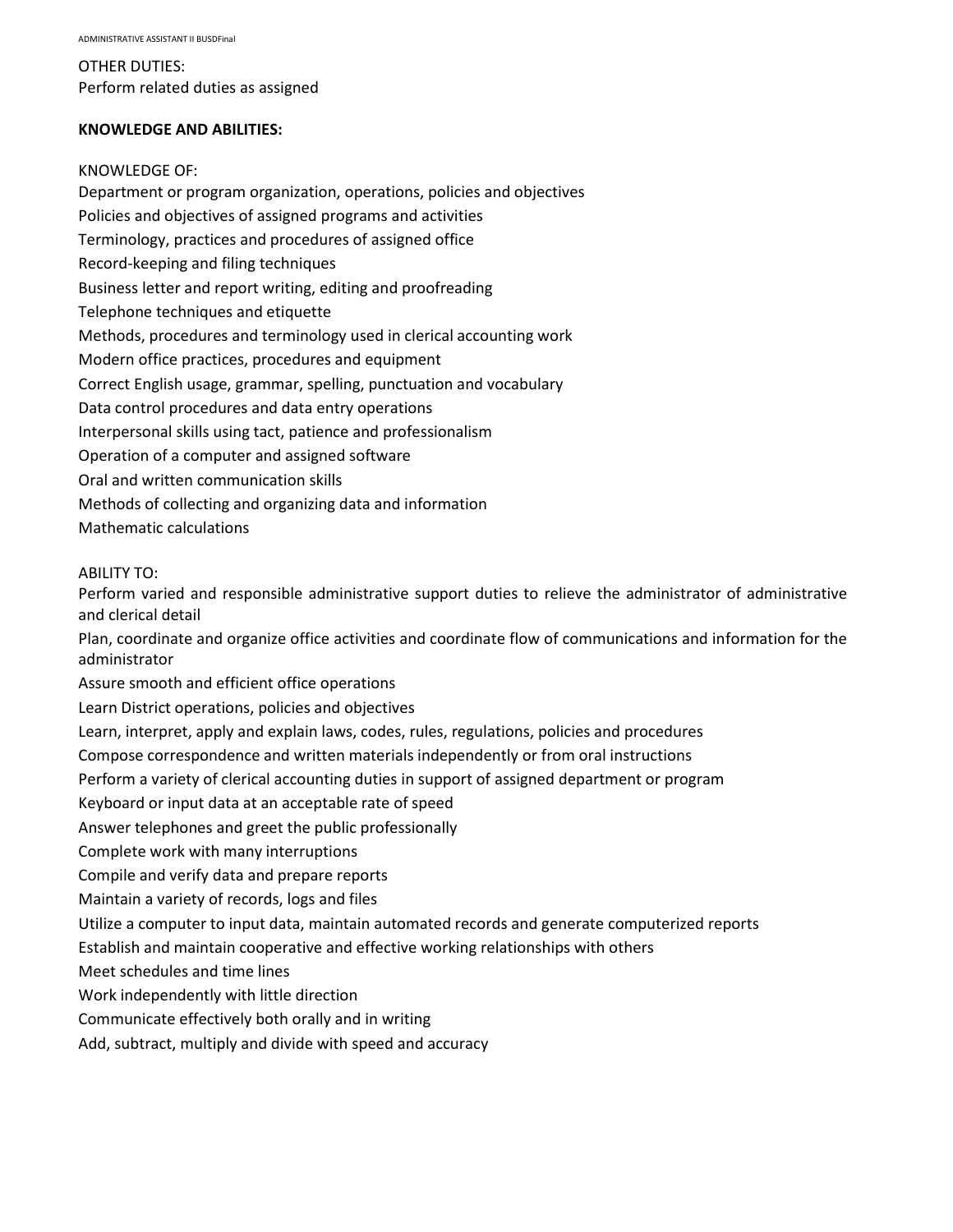OTHER DUTIES: Perform related duties as assigned

### **KNOWLEDGE AND ABILITIES:**

## KNOWLEDGE OF:

Department or program organization, operations, policies and objectives Policies and objectives of assigned programs and activities Terminology, practices and procedures of assigned office Record-keeping and filing techniques Business letter and report writing, editing and proofreading Telephone techniques and etiquette Methods, procedures and terminology used in clerical accounting work Modern office practices, procedures and equipment Correct English usage, grammar, spelling, punctuation and vocabulary Data control procedures and data entry operations Interpersonal skills using tact, patience and professionalism Operation of a computer and assigned software Oral and written communication skills Methods of collecting and organizing data and information Mathematic calculations

### ABILITY TO:

Perform varied and responsible administrative support duties to relieve the administrator of administrative and clerical detail

Plan, coordinate and organize office activities and coordinate flow of communications and information for the administrator

Assure smooth and efficient office operations

Learn District operations, policies and objectives

Learn, interpret, apply and explain laws, codes, rules, regulations, policies and procedures

Compose correspondence and written materials independently or from oral instructions

Perform a variety of clerical accounting duties in support of assigned department or program

Keyboard or input data at an acceptable rate of speed

Answer telephones and greet the public professionally

Complete work with many interruptions

Compile and verify data and prepare reports

Maintain a variety of records, logs and files

Utilize a computer to input data, maintain automated records and generate computerized reports

Establish and maintain cooperative and effective working relationships with others

Meet schedules and time lines

Work independently with little direction

Communicate effectively both orally and in writing

Add, subtract, multiply and divide with speed and accuracy